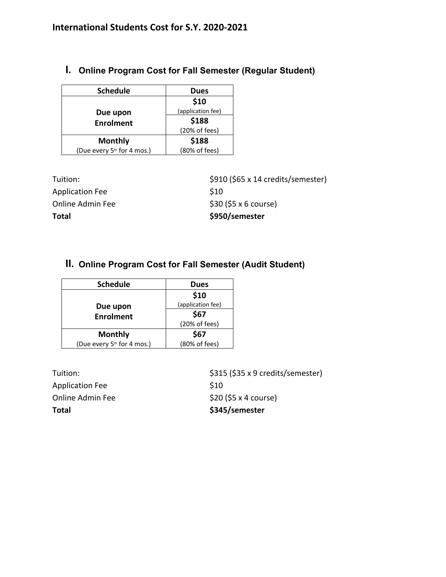**I. Online Program Cost for Fall Semester (Regular Student)**

| <b>Schedule</b>                        | <b>Dues</b>       |
|----------------------------------------|-------------------|
|                                        | \$10              |
| Due upon                               | (application fee) |
| <b>Enrolment</b>                       | \$188             |
|                                        | (20% of fees)     |
| <b>Monthly</b>                         | \$188             |
| (Due every 5 <sup>th</sup> for 4 mos.) | (80% of fees)     |

| Total            | \$950/semester                     |
|------------------|------------------------------------|
| Online Admin Fee | $$30$ (\$5 x 6 course)             |
| Application Fee  | S <sub>10</sub>                    |
| Tuition:         | \$910 (\$65 x 14 credits/semester) |

# **II. Online Program Cost for Fall Semester (Audit Student)**

| <b>Schedule</b>                        | <b>Dues</b>       |
|----------------------------------------|-------------------|
|                                        | \$10              |
| Due upon                               | (application fee) |
| <b>Enrolment</b>                       | \$67              |
|                                        | (20% of fees)     |
| <b>Monthly</b>                         | \$67              |
| (Due every 5 <sup>th</sup> for 4 mos.) | (80% of fees)     |

| Total                   | \$345/semester                    |
|-------------------------|-----------------------------------|
| <b>Online Admin Fee</b> | \$20 (\$5 x 4 course)             |
| <b>Application Fee</b>  | S <sub>10</sub>                   |
| Tuition:                | \$315 (\$35 x 9 credits/semester) |